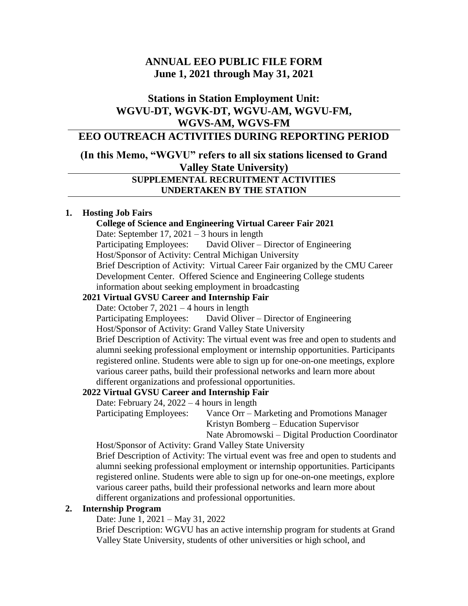# **ANNUAL EEO PUBLIC FILE FORM June 1, 2021 through May 31, 2021**

# **Stations in Station Employment Unit: WGVU-DT, WGVK-DT, WGVU-AM, WGVU-FM, WGVS-AM, WGVS-FM**

# **EEO OUTREACH ACTIVITIES DURING REPORTING PERIOD**

# **(In this Memo, "WGVU" refers to all six stations licensed to Grand Valley State University)**

### **SUPPLEMENTAL RECRUITMENT ACTIVITIES UNDERTAKEN BY THE STATION**

### **1. Hosting Job Fairs**

# **College of Science and Engineering Virtual Career Fair 2021**

Date: September 17, 2021 – 3 hours in length

 Participating Employees: David Oliver – Director of Engineering Host/Sponsor of Activity: Central Michigan University Brief Description of Activity: Virtual Career Fair organized by the CMU Career Development Center. Offered Science and Engineering College students information about seeking employment in broadcasting

### **2021 Virtual GVSU Career and Internship Fair**

Date: October 7,  $2021 - 4$  hours in length

Participating Employees: David Oliver – Director of Engineering

Host/Sponsor of Activity: Grand Valley State University

Brief Description of Activity: The virtual event was free and open to students and alumni seeking professional employment or internship opportunities. Participants registered online. Students were able to sign up for one-on-one meetings, explore various career paths, build their professional networks and learn more about different organizations and professional opportunities.

## **2022 Virtual GVSU Career and Internship Fair**

Date: February 24, 2022 – 4 hours in length

Participating Employees: Vance Orr – Marketing and Promotions Manager Kristyn Bomberg – Education Supervisor Nate Abromowski – Digital Production Coordinator

Host/Sponsor of Activity: Grand Valley State University

Brief Description of Activity: The virtual event was free and open to students and alumni seeking professional employment or internship opportunities. Participants registered online. Students were able to sign up for one-on-one meetings, explore various career paths, build their professional networks and learn more about different organizations and professional opportunities.

#### **2. Internship Program**

Date: June 1, 2021 – May 31, 2022

Brief Description: WGVU has an active internship program for students at Grand Valley State University, students of other universities or high school, and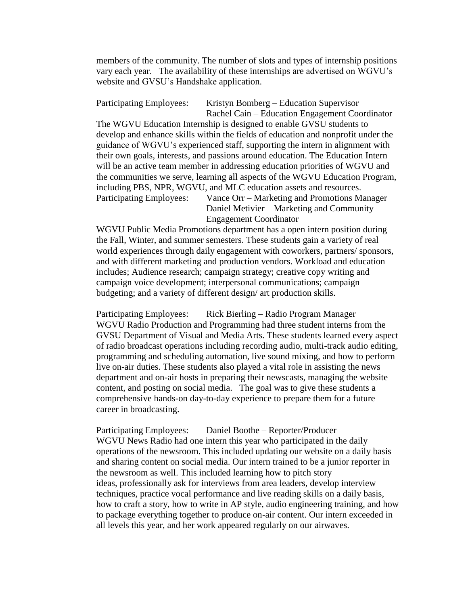members of the community. The number of slots and types of internship positions vary each year. The availability of these internships are advertised on WGVU's website and GVSU's Handshake application.

Participating Employees: Kristyn Bomberg – Education Supervisor Rachel Cain – Education Engagement Coordinator The WGVU Education Internship is designed to enable GVSU students to develop and enhance skills within the fields of education and nonprofit under the guidance of WGVU's experienced staff, supporting the intern in alignment with their own goals, interests, and passions around education. The Education Intern will be an active team member in addressing education priorities of WGVU and the communities we serve, learning all aspects of the WGVU Education Program, including PBS, NPR, WGVU, and MLC education assets and resources. Participating Employees: Vance Orr – Marketing and Promotions Manager Daniel Metivier – Marketing and Community Engagement Coordinator

WGVU Public Media Promotions department has a open intern position during the Fall, Winter, and summer semesters. These students gain a variety of real world experiences through daily engagement with coworkers, partners/ sponsors, and with different marketing and production vendors. Workload and education includes; Audience research; campaign strategy; creative copy writing and campaign voice development; interpersonal communications; campaign budgeting; and a variety of different design/ art production skills.

Participating Employees: Rick Bierling – Radio Program Manager WGVU Radio Production and Programming had three student interns from the GVSU Department of Visual and Media Arts. These students learned every aspect of radio broadcast operations including recording audio, multi-track audio editing, programming and scheduling automation, live sound mixing, and how to perform live on-air duties. These students also played a vital role in assisting the news department and on-air hosts in preparing their newscasts, managing the website content, and posting on social media. The goal was to give these students a comprehensive hands-on day-to-day experience to prepare them for a future career in broadcasting.

Participating Employees: Daniel Boothe – Reporter/Producer WGVU News Radio had one intern this year who participated in the daily operations of the newsroom. This included updating our website on a daily basis and sharing content on social media. Our intern trained to be a junior reporter in the newsroom as well. This included learning how to pitch story ideas, professionally ask for interviews from area leaders, develop interview techniques, practice vocal performance and live reading skills on a daily basis, how to craft a story, how to write in AP style, audio engineering training, and how to package everything together to produce on-air content. Our intern exceeded in all levels this year, and her work appeared regularly on our airwaves.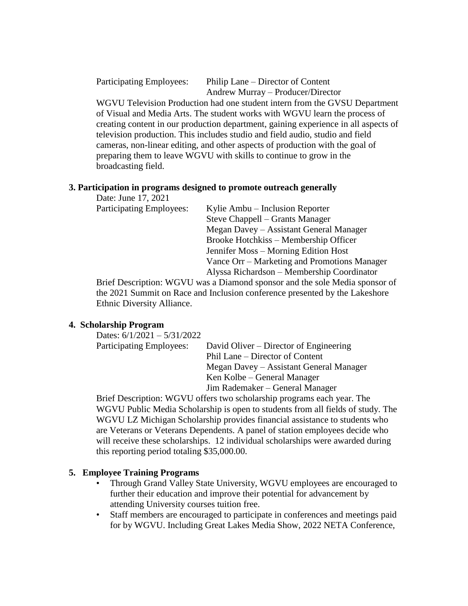Participating Employees: Philip Lane – Director of Content Andrew Murray – Producer/Director

WGVU Television Production had one student intern from the GVSU Department of Visual and Media Arts. The student works with WGVU learn the process of creating content in our production department, gaining experience in all aspects of television production. This includes studio and field audio, studio and field cameras, non-linear editing, and other aspects of production with the goal of preparing them to leave WGVU with skills to continue to grow in the broadcasting field.

### **3. Participation in programs designed to promote outreach generally**

Date: June 17, 2021

Participating Employees: Kylie Ambu – Inclusion Reporter Steve Chappell – Grants Manager Megan Davey – Assistant General Manager Brooke Hotchkiss – Membership Officer Jennifer Moss – Morning Edition Host Vance Orr – Marketing and Promotions Manager Alyssa Richardson – Membership Coordinator

Brief Description: WGVU was a Diamond sponsor and the sole Media sponsor of the 2021 Summit on Race and Inclusion conference presented by the Lakeshore Ethnic Diversity Alliance.

### **4. Scholarship Program**

| Dates: $6/1/2021 - 5/31/2022$   |                                         |
|---------------------------------|-----------------------------------------|
| <b>Participating Employees:</b> | David Oliver – Director of Engineering  |
|                                 | Phil Lane – Director of Content         |
|                                 | Megan Davey – Assistant General Manager |
|                                 | Ken Kolbe – General Manager             |
|                                 | Jim Rademaker – General Manager         |
|                                 |                                         |

Brief Description: WGVU offers two scholarship programs each year. The WGVU Public Media Scholarship is open to students from all fields of study. The WGVU LZ Michigan Scholarship provides financial assistance to students who are Veterans or Veterans Dependents. A panel of station employees decide who will receive these scholarships. 12 individual scholarships were awarded during this reporting period totaling \$35,000.00.

### **5. Employee Training Programs**

- Through Grand Valley State University, WGVU employees are encouraged to further their education and improve their potential for advancement by attending University courses tuition free.
- Staff members are encouraged to participate in conferences and meetings paid for by WGVU. Including Great Lakes Media Show, 2022 NETA Conference,